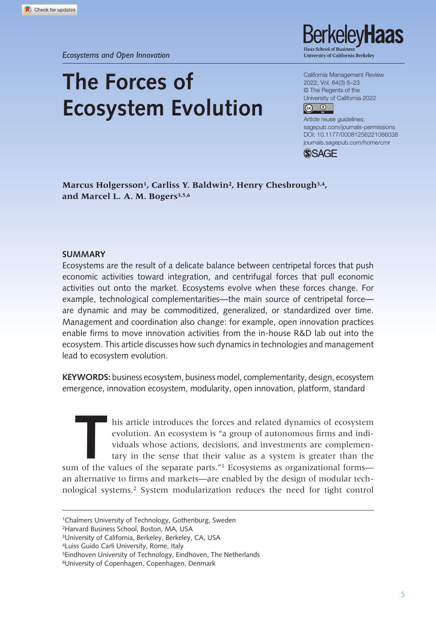# **The Forces of Ecosystem Evolution**

kelev**Haas** University of California Berkeley

California Management Review 2022, Vol. 64(3) 5–23 © The Regents of the University of California 2022



DOI: 10.1177/00081256221086038 Article reuse guidelines: [sagepub.com/journals-permissions](https://us.sagepub.com/en-us/journals-permissions)  [journals.sagepub.com/home/cmr](https://journals.sagepub.com/home/cmr)



Marcus Holgersson<sup>1</sup>, Carliss Y. Baldwin<sup>2</sup>, Henry Chesbrough<sup>3,4</sup>, and Marcel L. A. M. Bogers<sup>3,5,6</sup>

#### **Summary**

Ecosystems are the result of a delicate balance between centripetal forces that push economic activities toward integration, and centrifugal forces that pull economic activities out onto the market. Ecosystems evolve when these forces change. For example, technological complementarities—the main source of centripetal force are dynamic and may be commoditized, generalized, or standardized over time. Management and coordination also change: for example, open innovation practices enable firms to move innovation activities from the in-house R&D lab out into the ecosystem. This article discusses how such dynamics in technologies and management lead to ecosystem evolution.

**Keywords:** business ecosystem, business model, complementarity, design, ecosystem emergence, innovation ecosystem, modularity, open innovation, platform, standard

his article introduces the forces and related dynamics of ecosystem evolution. An ecosystem is "a group of autonomous firms and individuals whose actions, decisions, and investments are complementary in the sense that their value as a system is greater than the sum of the values of the separate parts."<sup>1</sup> Ecosystems as organizational forms an alternative to firms and markets—are enabled by the design of modular technological systems.2 System modularization reduces the need for tight control

2Harvard Business School, Boston, MA, USA

4Luiss Guido Carli University, Rome, Italy

<sup>1</sup>Chalmers University of Technology, Gothenburg, Sweden

<sup>3</sup>University of California, Berkeley, Berkeley, CA, USA

<sup>5</sup>Eindhoven University of Technology, Eindhoven, The Netherlands

<sup>6</sup>University of Copenhagen, Copenhagen, Denmark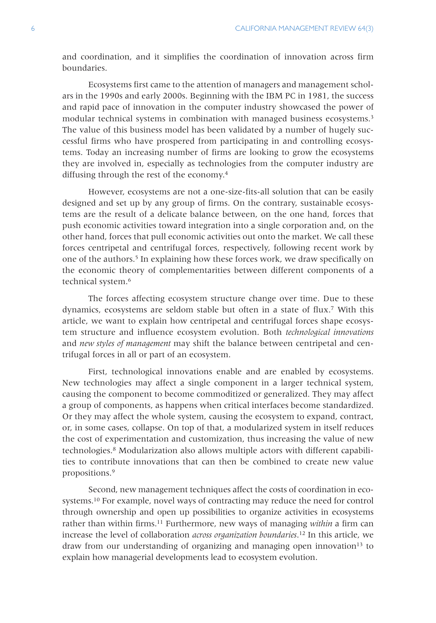and coordination, and it simplifies the coordination of innovation across firm boundaries.

Ecosystems first came to the attention of managers and management scholars in the 1990s and early 2000s. Beginning with the IBM PC in 1981, the success and rapid pace of innovation in the computer industry showcased the power of modular technical systems in combination with managed business ecosystems.<sup>3</sup> The value of this business model has been validated by a number of hugely successful firms who have prospered from participating in and controlling ecosystems. Today an increasing number of firms are looking to grow the ecosystems they are involved in, especially as technologies from the computer industry are diffusing through the rest of the economy.4

However, ecosystems are not a one-size-fits-all solution that can be easily designed and set up by any group of firms. On the contrary, sustainable ecosystems are the result of a delicate balance between, on the one hand, forces that push economic activities toward integration into a single corporation and, on the other hand, forces that pull economic activities out onto the market. We call these forces centripetal and centrifugal forces, respectively, following recent work by one of the authors.5 In explaining how these forces work, we draw specifically on the economic theory of complementarities between different components of a technical system.<sup>6</sup>

The forces affecting ecosystem structure change over time. Due to these dynamics, ecosystems are seldom stable but often in a state of flux.7 With this article, we want to explain how centripetal and centrifugal forces shape ecosystem structure and influence ecosystem evolution. Both *technological innovations* and *new styles of management* may shift the balance between centripetal and centrifugal forces in all or part of an ecosystem.

First, technological innovations enable and are enabled by ecosystems. New technologies may affect a single component in a larger technical system, causing the component to become commoditized or generalized. They may affect a group of components, as happens when critical interfaces become standardized. Or they may affect the whole system, causing the ecosystem to expand, contract, or, in some cases, collapse. On top of that, a modularized system in itself reduces the cost of experimentation and customization, thus increasing the value of new technologies.8 Modularization also allows multiple actors with different capabilities to contribute innovations that can then be combined to create new value propositions.9

Second, new management techniques affect the costs of coordination in ecosystems.10 For example, novel ways of contracting may reduce the need for control through ownership and open up possibilities to organize activities in ecosystems rather than within firms.11 Furthermore, new ways of managing *within* a firm can increase the level of collaboration *across organization boundaries*. 12 In this article, we draw from our understanding of organizing and managing open innovation $13$  to explain how managerial developments lead to ecosystem evolution.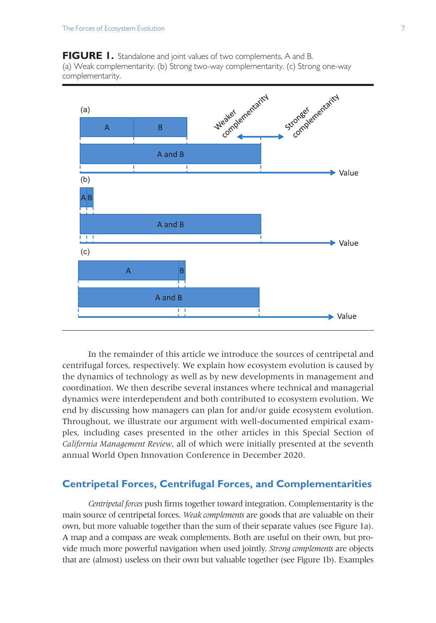FIGURE 1. Standalone and joint values of two complements, A and B. (a) Weak complementarity. (b) Strong two-way complementarity. (c) Strong one-way complementarity.



In the remainder of this article we introduce the sources of centripetal and centrifugal forces, respectively. We explain how ecosystem evolution is caused by the dynamics of technology as well as by new developments in management and coordination. We then describe several instances where technical and managerial dynamics were interdependent and both contributed to ecosystem evolution. We end by discussing how managers can plan for and/or guide ecosystem evolution. Throughout, we illustrate our argument with well-documented empirical examples, including cases presented in the other articles in this Special Section of *California Management Review*, all of which were initially presented at the seventh annual World Open Innovation Conference in December 2020.

# **Centripetal Forces, Centrifugal Forces, and Complementarities**

*Centripetal forces* push firms together toward integration. Complementarity is the main source of centripetal forces. *Weak complements* are goods that are valuable on their own, but more valuable together than the sum of their separate values (see Figure 1a). A map and a compass are weak complements. Both are useful on their own, but provide much more powerful navigation when used jointly. *Strong complements* are objects that are (almost) useless on their own but valuable together (see Figure 1b). Examples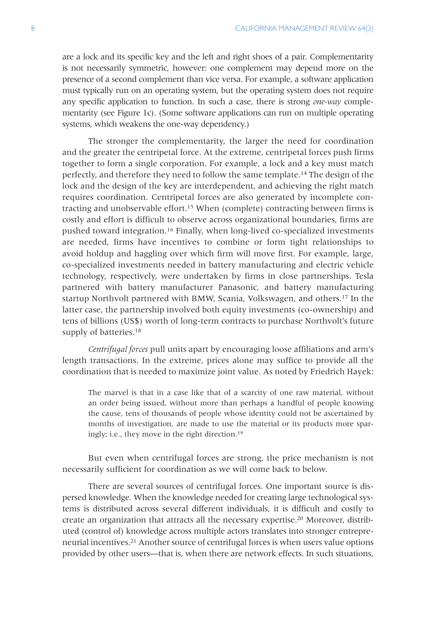are a lock and its specific key and the left and right shoes of a pair. Complementarity is not necessarily symmetric, however: one complement may depend more on the presence of a second complement than vice versa. For example, a software application must typically run on an operating system, but the operating system does not require any specific application to function. In such a case, there is strong *one-way* complementarity (see Figure 1c). (Some software applications can run on multiple operating systems, which weakens the one-way dependency.)

The stronger the complementarity, the larger the need for coordination and the greater the centripetal force. At the extreme, centripetal forces push firms together to form a single corporation. For example, a lock and a key must match perfectly, and therefore they need to follow the same template.14 The design of the lock and the design of the key are interdependent, and achieving the right match requires coordination. Centripetal forces are also generated by incomplete contracting and unobservable effort.<sup>15</sup> When (complete) contracting between firms is costly and effort is difficult to observe across organizational boundaries, firms are pushed toward integration.16 Finally, when long-lived co-specialized investments are needed, firms have incentives to combine or form tight relationships to avoid holdup and haggling over which firm will move first. For example, large, co-specialized investments needed in battery manufacturing and electric vehicle technology, respectively, were undertaken by firms in close partnerships. Tesla partnered with battery manufacturer Panasonic, and battery manufacturing startup Northvolt partnered with BMW, Scania, Volkswagen, and others.17 In the latter case, the partnership involved both equity investments (co-ownership) and tens of billions (US\$) worth of long-term contracts to purchase Northvolt's future supply of batteries.<sup>18</sup>

*Centrifugal forces* pull units apart by encouraging loose affiliations and arm's length transactions. In the extreme, prices alone may suffice to provide all the coordination that is needed to maximize joint value. As noted by Friedrich Hayek:

The marvel is that in a case like that of a scarcity of one raw material, without an order being issued, without more than perhaps a handful of people knowing the cause, tens of thousands of people whose identity could not be ascertained by months of investigation, are made to use the material or its products more sparingly; i.e., they move in the right direction.19

But even when centrifugal forces are strong, the price mechanism is not necessarily sufficient for coordination as we will come back to below.

There are several sources of centrifugal forces. One important source is dispersed knowledge. When the knowledge needed for creating large technological systems is distributed across several different individuals, it is difficult and costly to create an organization that attracts all the necessary expertise.20 Moreover, distributed (control of) knowledge across multiple actors translates into stronger entrepreneurial incentives.21 Another source of centrifugal forces is when users value options provided by other users—that is, when there are network effects. In such situations,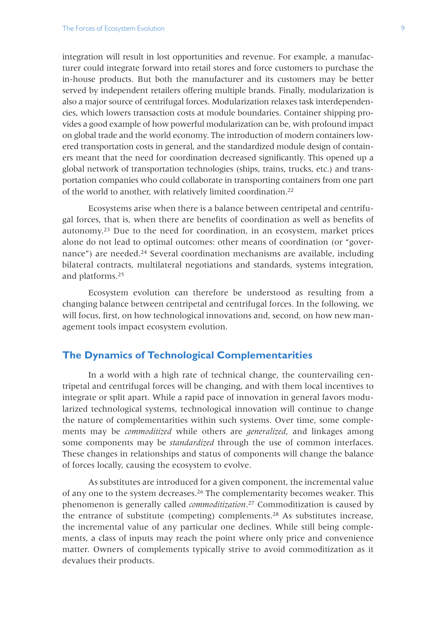integration will result in lost opportunities and revenue. For example, a manufacturer could integrate forward into retail stores and force customers to purchase the in-house products. But both the manufacturer and its customers may be better served by independent retailers offering multiple brands. Finally, modularization is also a major source of centrifugal forces. Modularization relaxes task interdependencies, which lowers transaction costs at module boundaries. Container shipping provides a good example of how powerful modularization can be, with profound impact on global trade and the world economy. The introduction of modern containers lowered transportation costs in general, and the standardized module design of containers meant that the need for coordination decreased significantly. This opened up a global network of transportation technologies (ships, trains, trucks, etc.) and transportation companies who could collaborate in transporting containers from one part of the world to another, with relatively limited coordination.22

Ecosystems arise when there is a balance between centripetal and centrifugal forces, that is, when there are benefits of coordination as well as benefits of autonomy.23 Due to the need for coordination, in an ecosystem, market prices alone do not lead to optimal outcomes: other means of coordination (or "governance") are needed.<sup>24</sup> Several coordination mechanisms are available, including bilateral contracts, multilateral negotiations and standards, systems integration, and platforms.25

Ecosystem evolution can therefore be understood as resulting from a changing balance between centripetal and centrifugal forces. In the following, we will focus, first, on how technological innovations and, second, on how new management tools impact ecosystem evolution.

## **The Dynamics of Technological Complementarities**

In a world with a high rate of technical change, the countervailing centripetal and centrifugal forces will be changing, and with them local incentives to integrate or split apart. While a rapid pace of innovation in general favors modularized technological systems, technological innovation will continue to change the nature of complementarities within such systems. Over time, some complements may be *commoditized* while others are *generalized*, and linkages among some components may be *standardized* through the use of common interfaces. These changes in relationships and status of components will change the balance of forces locally, causing the ecosystem to evolve.

As substitutes are introduced for a given component, the incremental value of any one to the system decreases.26 The complementarity becomes weaker. This phenomenon is generally called *commoditization*. 27 Commoditization is caused by the entrance of substitute (competing) complements.<sup>28</sup> As substitutes increase, the incremental value of any particular one declines. While still being complements, a class of inputs may reach the point where only price and convenience matter. Owners of complements typically strive to avoid commoditization as it devalues their products.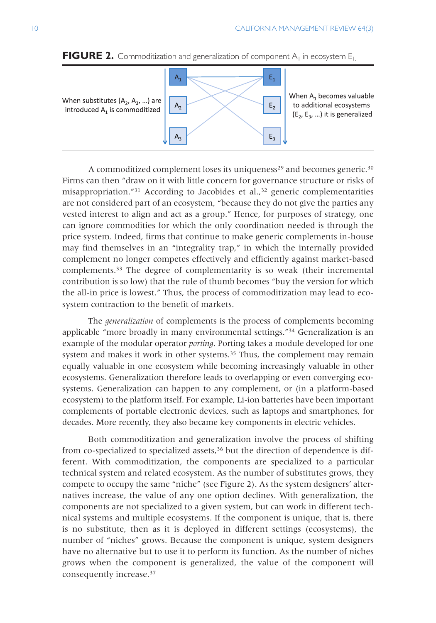

**FIGURE 2.** Commoditization and generalization of component  $A_1$  in ecosystem  $E_1$ .

A commoditized complement loses its uniqueness<sup>29</sup> and becomes generic.<sup>30</sup> Firms can then "draw on it with little concern for governance structure or risks of misappropriation."<sup>31</sup> According to Jacobides et al.,<sup>32</sup> generic complementarities are not considered part of an ecosystem, "because they do not give the parties any vested interest to align and act as a group." Hence, for purposes of strategy, one can ignore commodities for which the only coordination needed is through the price system. Indeed, firms that continue to make generic complements in-house may find themselves in an "integrality trap," in which the internally provided complement no longer competes effectively and efficiently against market-based complements.33 The degree of complementarity is so weak (their incremental contribution is so low) that the rule of thumb becomes "buy the version for which the all-in price is lowest." Thus, the process of commoditization may lead to ecosystem contraction to the benefit of markets.

The *generalization* of complements is the process of complements becoming applicable "more broadly in many environmental settings."<sup>34</sup> Generalization is an example of the modular operator *porting*. Porting takes a module developed for one system and makes it work in other systems.<sup>35</sup> Thus, the complement may remain equally valuable in one ecosystem while becoming increasingly valuable in other ecosystems. Generalization therefore leads to overlapping or even converging ecosystems. Generalization can happen to any complement, or (in a platform-based ecosystem) to the platform itself. For example, Li-ion batteries have been important complements of portable electronic devices, such as laptops and smartphones, for decades. More recently, they also became key components in electric vehicles.

Both commoditization and generalization involve the process of shifting from co-specialized to specialized assets, $36$  but the direction of dependence is different. With commoditization, the components are specialized to a particular technical system and related ecosystem. As the number of substitutes grows, they compete to occupy the same "niche" (see Figure 2). As the system designers' alternatives increase, the value of any one option declines. With generalization, the components are not specialized to a given system, but can work in different technical systems and multiple ecosystems. If the component is unique, that is, there is no substitute, then as it is deployed in different settings (ecosystems), the number of "niches" grows. Because the component is unique, system designers have no alternative but to use it to perform its function. As the number of niches grows when the component is generalized, the value of the component will consequently increase.37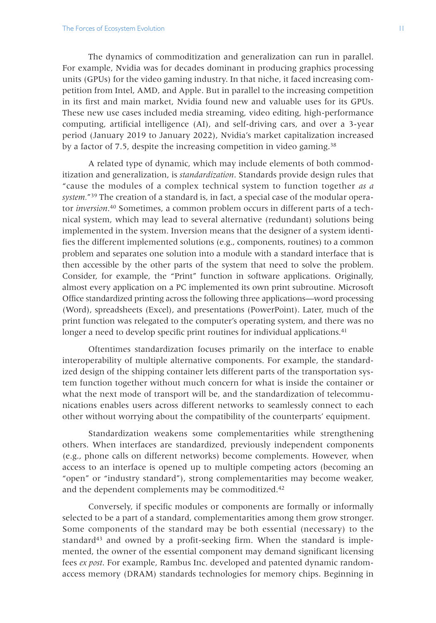The dynamics of commoditization and generalization can run in parallel. For example, Nvidia was for decades dominant in producing graphics processing units (GPUs) for the video gaming industry. In that niche, it faced increasing competition from Intel, AMD, and Apple. But in parallel to the increasing competition in its first and main market, Nvidia found new and valuable uses for its GPUs. These new use cases included media streaming, video editing, high-performance computing, artificial intelligence (AI), and self-driving cars, and over a 3-year period (January 2019 to January 2022), Nvidia's market capitalization increased by a factor of 7.5, despite the increasing competition in video gaming.<sup>38</sup>

A related type of dynamic, which may include elements of both commoditization and generalization, is *standardization*. Standards provide design rules that "cause the modules of a complex technical system to function together *as a system.*"39 The creation of a standard is, in fact, a special case of the modular operator *inversion*. 40 Sometimes, a common problem occurs in different parts of a technical system, which may lead to several alternative (redundant) solutions being implemented in the system. Inversion means that the designer of a system identifies the different implemented solutions (e.g., components, routines) to a common problem and separates one solution into a module with a standard interface that is then accessible by the other parts of the system that need to solve the problem. Consider, for example, the "Print" function in software applications. Originally, almost every application on a PC implemented its own print subroutine. Microsoft Office standardized printing across the following three applications—word processing (Word), spreadsheets (Excel), and presentations (PowerPoint). Later, much of the print function was relegated to the computer's operating system, and there was no longer a need to develop specific print routines for individual applications.<sup>41</sup>

Oftentimes standardization focuses primarily on the interface to enable interoperability of multiple alternative components. For example, the standardized design of the shipping container lets different parts of the transportation system function together without much concern for what is inside the container or what the next mode of transport will be, and the standardization of telecommunications enables users across different networks to seamlessly connect to each other without worrying about the compatibility of the counterparts' equipment.

Standardization weakens some complementarities while strengthening others. When interfaces are standardized, previously independent components (e.g., phone calls on different networks) become complements. However, when access to an interface is opened up to multiple competing actors (becoming an "open" or "industry standard"), strong complementarities may become weaker, and the dependent complements may be commoditized.<sup>42</sup>

Conversely, if specific modules or components are formally or informally selected to be a part of a standard, complementarities among them grow stronger. Some components of the standard may be both essential (necessary) to the standard $43$  and owned by a profit-seeking firm. When the standard is implemented, the owner of the essential component may demand significant licensing fees *ex post*. For example, Rambus Inc. developed and patented dynamic randomaccess memory (DRAM) standards technologies for memory chips. Beginning in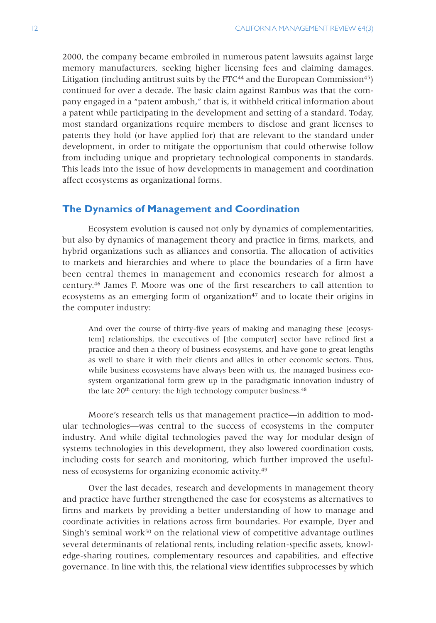2000, the company became embroiled in numerous patent lawsuits against large memory manufacturers, seeking higher licensing fees and claiming damages. Litigation (including antitrust suits by the FTC $44$  and the European Commission $45$ ) continued for over a decade. The basic claim against Rambus was that the company engaged in a "patent ambush," that is, it withheld critical information about a patent while participating in the development and setting of a standard. Today, most standard organizations require members to disclose and grant licenses to patents they hold (or have applied for) that are relevant to the standard under development, in order to mitigate the opportunism that could otherwise follow from including unique and proprietary technological components in standards. This leads into the issue of how developments in management and coordination affect ecosystems as organizational forms.

## **The Dynamics of Management and Coordination**

Ecosystem evolution is caused not only by dynamics of complementarities, but also by dynamics of management theory and practice in firms, markets, and hybrid organizations such as alliances and consortia. The allocation of activities to markets and hierarchies and where to place the boundaries of a firm have been central themes in management and economics research for almost a century.46 James F. Moore was one of the first researchers to call attention to ecosystems as an emerging form of organization $47$  and to locate their origins in the computer industry:

And over the course of thirty-five years of making and managing these [ecosystem] relationships, the executives of [the computer] sector have refined first a practice and then a theory of business ecosystems, and have gone to great lengths as well to share it with their clients and allies in other economic sectors. Thus, while business ecosystems have always been with us, the managed business ecosystem organizational form grew up in the paradigmatic innovation industry of the late 20<sup>th</sup> century: the high technology computer business.<sup>48</sup>

Moore's research tells us that management practice—in addition to modular technologies—was central to the success of ecosystems in the computer industry. And while digital technologies paved the way for modular design of systems technologies in this development, they also lowered coordination costs, including costs for search and monitoring, which further improved the usefulness of ecosystems for organizing economic activity.49

Over the last decades, research and developments in management theory and practice have further strengthened the case for ecosystems as alternatives to firms and markets by providing a better understanding of how to manage and coordinate activities in relations across firm boundaries. For example, Dyer and Singh's seminal work $50$  on the relational view of competitive advantage outlines several determinants of relational rents, including relation-specific assets, knowledge-sharing routines, complementary resources and capabilities, and effective governance. In line with this, the relational view identifies subprocesses by which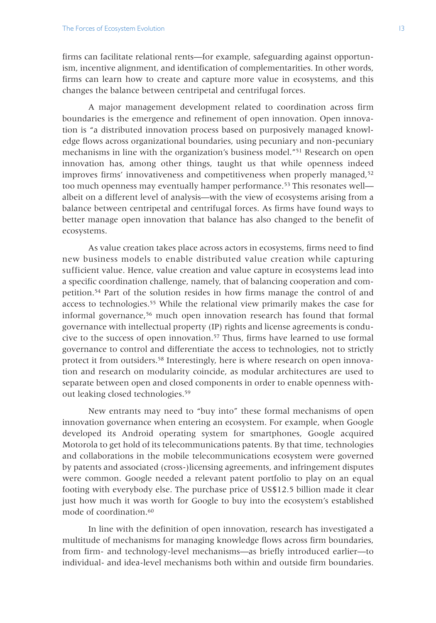firms can facilitate relational rents—for example, safeguarding against opportunism, incentive alignment, and identification of complementarities. In other words, firms can learn how to create and capture more value in ecosystems, and this changes the balance between centripetal and centrifugal forces.

A major management development related to coordination across firm boundaries is the emergence and refinement of open innovation. Open innovation is "a distributed innovation process based on purposively managed knowledge flows across organizational boundaries, using pecuniary and non-pecuniary mechanisms in line with the organization's business model."51 Research on open innovation has, among other things, taught us that while openness indeed improves firms' innovativeness and competitiveness when properly managed,<sup>52</sup> too much openness may eventually hamper performance.<sup>53</sup> This resonates well albeit on a different level of analysis—with the view of ecosystems arising from a balance between centripetal and centrifugal forces. As firms have found ways to better manage open innovation that balance has also changed to the benefit of ecosystems.

As value creation takes place across actors in ecosystems, firms need to find new business models to enable distributed value creation while capturing sufficient value. Hence, value creation and value capture in ecosystems lead into a specific coordination challenge, namely, that of balancing cooperation and competition.54 Part of the solution resides in how firms manage the control of and access to technologies.55 While the relational view primarily makes the case for informal governance,56 much open innovation research has found that formal governance with intellectual property (IP) rights and license agreements is conducive to the success of open innovation.57 Thus, firms have learned to use formal governance to control and differentiate the access to technologies, not to strictly protect it from outsiders.58 Interestingly, here is where research on open innovation and research on modularity coincide, as modular architectures are used to separate between open and closed components in order to enable openness without leaking closed technologies.59

New entrants may need to "buy into" these formal mechanisms of open innovation governance when entering an ecosystem. For example, when Google developed its Android operating system for smartphones, Google acquired Motorola to get hold of its telecommunications patents. By that time, technologies and collaborations in the mobile telecommunications ecosystem were governed by patents and associated (cross-)licensing agreements, and infringement disputes were common. Google needed a relevant patent portfolio to play on an equal footing with everybody else. The purchase price of US\$12.5 billion made it clear just how much it was worth for Google to buy into the ecosystem's established mode of coordination.<sup>60</sup>

In line with the definition of open innovation, research has investigated a multitude of mechanisms for managing knowledge flows across firm boundaries, from firm- and technology-level mechanisms—as briefly introduced earlier—to individual- and idea-level mechanisms both within and outside firm boundaries.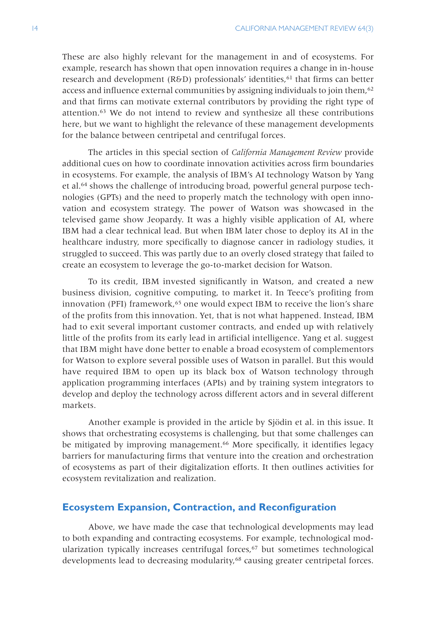These are also highly relevant for the management in and of ecosystems. For example, research has shown that open innovation requires a change in in-house research and development (R&D) professionals' identities, $61$  that firms can better access and influence external communities by assigning individuals to join them, $62$ and that firms can motivate external contributors by providing the right type of attention.63 We do not intend to review and synthesize all these contributions here, but we want to highlight the relevance of these management developments for the balance between centripetal and centrifugal forces.

The articles in this special section of *California Management Review* provide additional cues on how to coordinate innovation activities across firm boundaries in ecosystems. For example, the analysis of IBM's AI technology Watson by Yang et al.64 shows the challenge of introducing broad, powerful general purpose technologies (GPTs) and the need to properly match the technology with open innovation and ecosystem strategy. The power of Watson was showcased in the televised game show Jeopardy. It was a highly visible application of AI, where IBM had a clear technical lead. But when IBM later chose to deploy its AI in the healthcare industry, more specifically to diagnose cancer in radiology studies, it struggled to succeed. This was partly due to an overly closed strategy that failed to create an ecosystem to leverage the go-to-market decision for Watson.

To its credit, IBM invested significantly in Watson, and created a new business division, cognitive computing, to market it. In Teece's profiting from innovation (PFI) framework,<sup>65</sup> one would expect IBM to receive the lion's share of the profits from this innovation. Yet, that is not what happened. Instead, IBM had to exit several important customer contracts, and ended up with relatively little of the profits from its early lead in artificial intelligence. Yang et al. suggest that IBM might have done better to enable a broad ecosystem of complementors for Watson to explore several possible uses of Watson in parallel. But this would have required IBM to open up its black box of Watson technology through application programming interfaces (APIs) and by training system integrators to develop and deploy the technology across different actors and in several different markets.

Another example is provided in the article by Sjödin et al. in this issue. It shows that orchestrating ecosystems is challenging, but that some challenges can be mitigated by improving management.<sup>66</sup> More specifically, it identifies legacy barriers for manufacturing firms that venture into the creation and orchestration of ecosystems as part of their digitalization efforts. It then outlines activities for ecosystem revitalization and realization.

# **Ecosystem Expansion, Contraction, and Reconfiguration**

Above, we have made the case that technological developments may lead to both expanding and contracting ecosystems. For example, technological modularization typically increases centrifugal forces, $67$  but sometimes technological developments lead to decreasing modularity,<sup>68</sup> causing greater centripetal forces.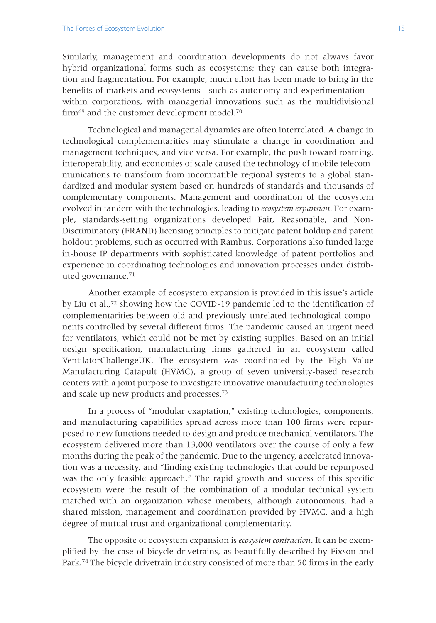Similarly, management and coordination developments do not always favor hybrid organizational forms such as ecosystems; they can cause both integration and fragmentation. For example, much effort has been made to bring in the benefits of markets and ecosystems—such as autonomy and experimentation within corporations, with managerial innovations such as the multidivisional firm<sup>69</sup> and the customer development model.<sup>70</sup>

Technological and managerial dynamics are often interrelated. A change in technological complementarities may stimulate a change in coordination and management techniques, and vice versa. For example, the push toward roaming, interoperability, and economies of scale caused the technology of mobile telecommunications to transform from incompatible regional systems to a global standardized and modular system based on hundreds of standards and thousands of complementary components. Management and coordination of the ecosystem evolved in tandem with the technologies, leading to *ecosystem expansion*. For example, standards-setting organizations developed Fair, Reasonable, and Non-Discriminatory (FRAND) licensing principles to mitigate patent holdup and patent holdout problems, such as occurred with Rambus. Corporations also funded large in-house IP departments with sophisticated knowledge of patent portfolios and experience in coordinating technologies and innovation processes under distributed governance.71

Another example of ecosystem expansion is provided in this issue's article by Liu et al.,72 showing how the COVID-19 pandemic led to the identification of complementarities between old and previously unrelated technological components controlled by several different firms. The pandemic caused an urgent need for ventilators, which could not be met by existing supplies. Based on an initial design specification, manufacturing firms gathered in an ecosystem called VentilatorChallengeUK. The ecosystem was coordinated by the High Value Manufacturing Catapult (HVMC), a group of seven university-based research centers with a joint purpose to investigate innovative manufacturing technologies and scale up new products and processes.73

In a process of "modular exaptation," existing technologies, components, and manufacturing capabilities spread across more than 100 firms were repurposed to new functions needed to design and produce mechanical ventilators. The ecosystem delivered more than 13,000 ventilators over the course of only a few months during the peak of the pandemic. Due to the urgency, accelerated innovation was a necessity, and "finding existing technologies that could be repurposed was the only feasible approach." The rapid growth and success of this specific ecosystem were the result of the combination of a modular technical system matched with an organization whose members, although autonomous, had a shared mission, management and coordination provided by HVMC, and a high degree of mutual trust and organizational complementarity.

The opposite of ecosystem expansion is *ecosystem contraction*. It can be exemplified by the case of bicycle drivetrains, as beautifully described by Fixson and Park.74 The bicycle drivetrain industry consisted of more than 50 firms in the early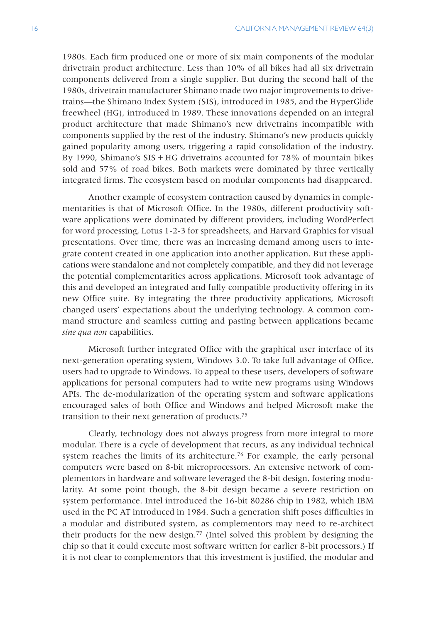1980s. Each firm produced one or more of six main components of the modular drivetrain product architecture. Less than 10% of all bikes had all six drivetrain components delivered from a single supplier. But during the second half of the 1980s, drivetrain manufacturer Shimano made two major improvements to drivetrains—the Shimano Index System (SIS), introduced in 1985, and the HyperGlide freewheel (HG), introduced in 1989. These innovations depended on an integral product architecture that made Shimano's new drivetrains incompatible with components supplied by the rest of the industry. Shimano's new products quickly gained popularity among users, triggering a rapid consolidation of the industry. By 1990, Shimano's  $SIS + HG$  drivetrains accounted for 78% of mountain bikes sold and 57% of road bikes. Both markets were dominated by three vertically integrated firms. The ecosystem based on modular components had disappeared.

Another example of ecosystem contraction caused by dynamics in complementarities is that of Microsoft Office. In the 1980s, different productivity software applications were dominated by different providers, including WordPerfect for word processing, Lotus 1-2-3 for spreadsheets, and Harvard Graphics for visual presentations. Over time, there was an increasing demand among users to integrate content created in one application into another application. But these applications were standalone and not completely compatible, and they did not leverage the potential complementarities across applications. Microsoft took advantage of this and developed an integrated and fully compatible productivity offering in its new Office suite. By integrating the three productivity applications, Microsoft changed users' expectations about the underlying technology. A common command structure and seamless cutting and pasting between applications became *sine qua non* capabilities.

Microsoft further integrated Office with the graphical user interface of its next-generation operating system, Windows 3.0. To take full advantage of Office, users had to upgrade to Windows. To appeal to these users, developers of software applications for personal computers had to write new programs using Windows APIs. The de-modularization of the operating system and software applications encouraged sales of both Office and Windows and helped Microsoft make the transition to their next generation of products.75

Clearly, technology does not always progress from more integral to more modular. There is a cycle of development that recurs, as any individual technical system reaches the limits of its architecture.<sup>76</sup> For example, the early personal computers were based on 8-bit microprocessors. An extensive network of complementors in hardware and software leveraged the 8-bit design, fostering modularity. At some point though, the 8-bit design became a severe restriction on system performance. Intel introduced the 16-bit 80286 chip in 1982, which IBM used in the PC AT introduced in 1984. Such a generation shift poses difficulties in a modular and distributed system, as complementors may need to re-architect their products for the new design.77 (Intel solved this problem by designing the chip so that it could execute most software written for earlier 8-bit processors.) If it is not clear to complementors that this investment is justified, the modular and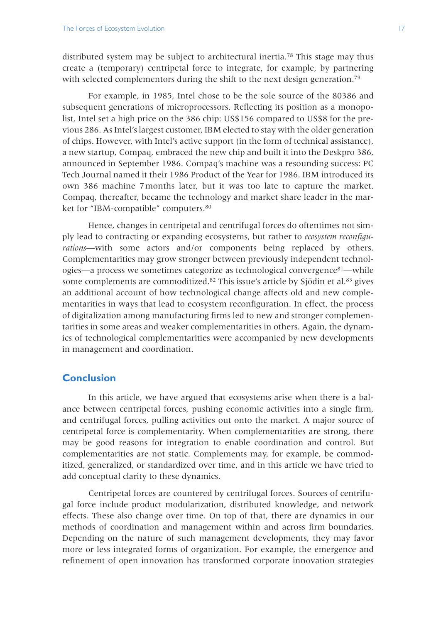distributed system may be subject to architectural inertia.<sup>78</sup> This stage may thus create a (temporary) centripetal force to integrate, for example, by partnering with selected complementors during the shift to the next design generation.<sup>79</sup>

For example, in 1985, Intel chose to be the sole source of the 80386 and subsequent generations of microprocessors. Reflecting its position as a monopolist, Intel set a high price on the 386 chip: US\$156 compared to US\$8 for the previous 286. As Intel's largest customer, IBM elected to stay with the older generation of chips. However, with Intel's active support (in the form of technical assistance), a new startup, Compaq, embraced the new chip and built it into the Deskpro 386, announced in September 1986. Compaq's machine was a resounding success: PC Tech Journal named it their 1986 Product of the Year for 1986. IBM introduced its own 386 machine 7months later, but it was too late to capture the market. Compaq, thereafter, became the technology and market share leader in the market for "IBM-compatible" computers.80

Hence, changes in centripetal and centrifugal forces do oftentimes not simply lead to contracting or expanding ecosystems, but rather to *ecosystem reconfigurations*—with some actors and/or components being replaced by others. Complementarities may grow stronger between previously independent technologies—a process we sometimes categorize as technological convergence<sup>81</sup>—while some complements are commoditized.<sup>82</sup> This issue's article by Sjödin et al.<sup>83</sup> gives an additional account of how technological change affects old and new complementarities in ways that lead to ecosystem reconfiguration. In effect, the process of digitalization among manufacturing firms led to new and stronger complementarities in some areas and weaker complementarities in others. Again, the dynamics of technological complementarities were accompanied by new developments in management and coordination.

# **Conclusion**

In this article, we have argued that ecosystems arise when there is a balance between centripetal forces, pushing economic activities into a single firm, and centrifugal forces, pulling activities out onto the market. A major source of centripetal force is complementarity. When complementarities are strong, there may be good reasons for integration to enable coordination and control. But complementarities are not static. Complements may, for example, be commoditized, generalized, or standardized over time, and in this article we have tried to add conceptual clarity to these dynamics.

Centripetal forces are countered by centrifugal forces. Sources of centrifugal force include product modularization, distributed knowledge, and network effects. These also change over time. On top of that, there are dynamics in our methods of coordination and management within and across firm boundaries. Depending on the nature of such management developments, they may favor more or less integrated forms of organization. For example, the emergence and refinement of open innovation has transformed corporate innovation strategies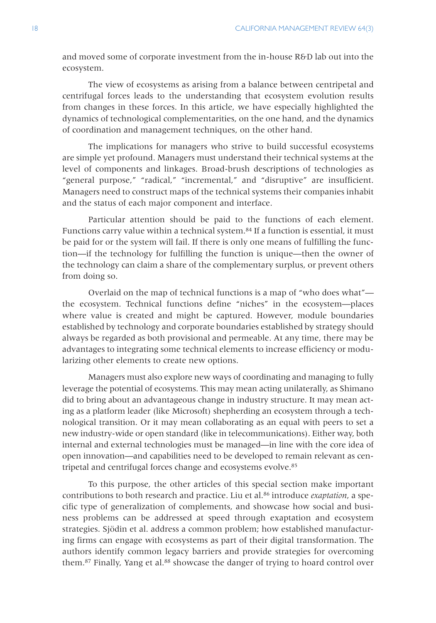and moved some of corporate investment from the in-house R&D lab out into the ecosystem.

The view of ecosystems as arising from a balance between centripetal and centrifugal forces leads to the understanding that ecosystem evolution results from changes in these forces. In this article, we have especially highlighted the dynamics of technological complementarities, on the one hand, and the dynamics of coordination and management techniques, on the other hand.

The implications for managers who strive to build successful ecosystems are simple yet profound. Managers must understand their technical systems at the level of components and linkages. Broad-brush descriptions of technologies as "general purpose," "radical," "incremental," and "disruptive" are insufficient. Managers need to construct maps of the technical systems their companies inhabit and the status of each major component and interface.

Particular attention should be paid to the functions of each element. Functions carry value within a technical system.<sup>84</sup> If a function is essential, it must be paid for or the system will fail. If there is only one means of fulfilling the function—if the technology for fulfilling the function is unique—then the owner of the technology can claim a share of the complementary surplus, or prevent others from doing so.

Overlaid on the map of technical functions is a map of "who does what" the ecosystem. Technical functions define "niches" in the ecosystem—places where value is created and might be captured. However, module boundaries established by technology and corporate boundaries established by strategy should always be regarded as both provisional and permeable. At any time, there may be advantages to integrating some technical elements to increase efficiency or modularizing other elements to create new options.

Managers must also explore new ways of coordinating and managing to fully leverage the potential of ecosystems. This may mean acting unilaterally, as Shimano did to bring about an advantageous change in industry structure. It may mean acting as a platform leader (like Microsoft) shepherding an ecosystem through a technological transition. Or it may mean collaborating as an equal with peers to set a new industry-wide or open standard (like in telecommunications). Either way, both internal and external technologies must be managed—in line with the core idea of open innovation—and capabilities need to be developed to remain relevant as centripetal and centrifugal forces change and ecosystems evolve.<sup>85</sup>

To this purpose, the other articles of this special section make important contributions to both research and practice. Liu et al.86 introduce *exaptation*, a specific type of generalization of complements, and showcase how social and business problems can be addressed at speed through exaptation and ecosystem strategies. Sjödin et al. address a common problem; how established manufacturing firms can engage with ecosystems as part of their digital transformation. The authors identify common legacy barriers and provide strategies for overcoming them.<sup>87</sup> Finally, Yang et al.<sup>88</sup> showcase the danger of trying to hoard control over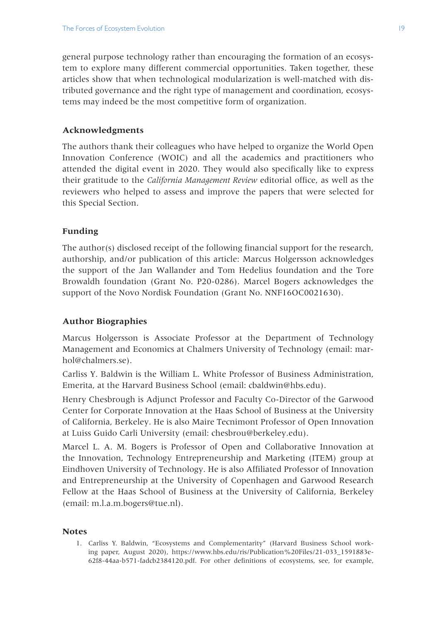general purpose technology rather than encouraging the formation of an ecosystem to explore many different commercial opportunities. Taken together, these articles show that when technological modularization is well-matched with distributed governance and the right type of management and coordination, ecosystems may indeed be the most competitive form of organization.

## **Acknowledgments**

The authors thank their colleagues who have helped to organize the World Open Innovation Conference (WOIC) and all the academics and practitioners who attended the digital event in 2020. They would also specifically like to express their gratitude to the *California Management Review* editorial office, as well as the reviewers who helped to assess and improve the papers that were selected for this Special Section.

### **Funding**

The author(s) disclosed receipt of the following financial support for the research, authorship, and/or publication of this article: Marcus Holgersson acknowledges the support of the Jan Wallander and Tom Hedelius foundation and the Tore Browaldh foundation (Grant No. P20-0286). Marcel Bogers acknowledges the support of the Novo Nordisk Foundation (Grant No. NNF16OC0021630).

#### **Author Biographies**

Marcus Holgersson is Associate Professor at the Department of Technology Management and Economics at Chalmers University of Technology (email: marhol@chalmers.se).

Carliss Y. Baldwin is the William L. White Professor of Business Administration, Emerita, at the Harvard Business School (email: cbaldwin@hbs.edu).

Henry Chesbrough is Adjunct Professor and Faculty Co-Director of the Garwood Center for Corporate Innovation at the Haas School of Business at the University of California, Berkeley. He is also Maire Tecnimont Professor of Open Innovation at Luiss Guido Carli University (email: chesbrou@berkeley.edu).

Marcel L. A. M. Bogers is Professor of Open and Collaborative Innovation at the Innovation, Technology Entrepreneurship and Marketing (ITEM) group at Eindhoven University of Technology. He is also Affiliated Professor of Innovation and Entrepreneurship at the University of Copenhagen and Garwood Research Fellow at the Haas School of Business at the University of California, Berkeley (email: m.l.a.m.bogers@tue.nl).

#### **Notes**

1. Carliss Y. Baldwin, "Ecosystems and Complementarity" (Harvard Business School working paper, August 2020), https://www.hbs.edu/ris/Publication%20Files/21-033\_1591883e-62f8-44aa-b571-fadcb2384120.pdf. For other definitions of ecosystems, see, for example,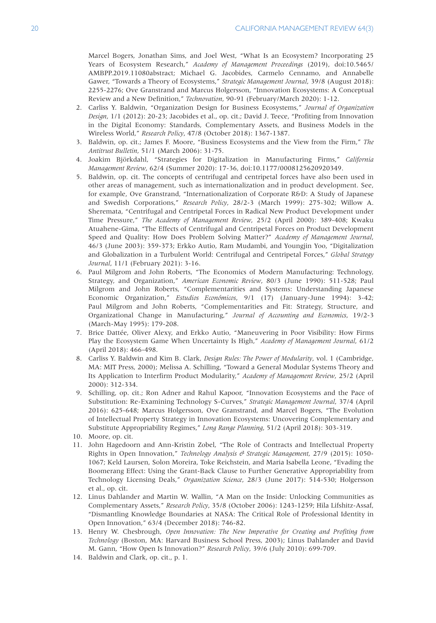Marcel Bogers, Jonathan Sims, and Joel West, "What Is an Ecosystem? Incorporating 25 Years of Ecosystem Research," *Academy of Management Proceedings* (2019), doi:10.5465/ AMBPP.2019.11080abstract; Michael G. Jacobides, Carmelo Cennamo, and Annabelle Gawer, "Towards a Theory of Ecosystems," *Strategic Management Journal*, 39/8 (August 2018): 2255-2276; Ove Granstrand and Marcus Holgersson, "Innovation Ecosystems: A Conceptual Review and a New Definition," *Technovation*, 90-91 (February/March 2020): 1-12.

- 2. Carliss Y. Baldwin, "Organization Design for Business Ecosystems," *Journal of Organization Design*, 1/1 (2012): 20-23; Jacobides et al., op. cit.; David J. Teece, "Profiting from Innovation in the Digital Economy: Standards, Complementary Assets, and Business Models in the Wireless World," *Research Policy*, 47/8 (October 2018): 1367-1387.
- 3. Baldwin, op. cit.; James F. Moore, "Business Ecosystems and the View from the Firm," *The Antitrust Bulletin*, 51/1 (March 2006): 31-75.
- 4. Joakim Björkdahl, "Strategies for Digitalization in Manufacturing Firms," *California Management Review*, 62/4 (Summer 2020): 17-36, doi:10.1177/0008125620920349.
- 5. Baldwin, op. cit. The concepts of centrifugal and centripetal forces have also been used in other areas of management, such as internationalization and in product development. See, for example, Ove Granstrand, "Internationalization of Corporate R&D: A Study of Japanese and Swedish Corporations," *Research Policy*, 28/2-3 (March 1999): 275-302; Willow A. Sheremata, "Centrifugal and Centripetal Forces in Radical New Product Development under Time Pressure," *The Academy of Management Review*, 25/2 (April 2000): 389-408; Kwaku Atuahene-Gima, "The Effects of Centrifugal and Centripetal Forces on Product Development Speed and Quality: How Does Problem Solving Matter?" *Academy of Management Journal*, 46/3 (June 2003): 359-373; Erkko Autio, Ram Mudambi, and Youngjin Yoo, "Digitalization and Globalization in a Turbulent World: Centrifugal and Centripetal Forces," *Global Strategy Journal*, 11/1 (February 2021): 3-16.
- 6. Paul Milgrom and John Roberts, "The Economics of Modern Manufacturing: Technology, Strategy, and Organization," *American Economic Review*, 80/3 (June 1990): 511-528; Paul Milgrom and John Roberts, "Complementarities and Systems: Understanding Japanese Economic Organization," *Estudios Económicos*, 9/1 (17) (January-June 1994): 3-42; Paul Milgrom and John Roberts, "Complementarities and Fit: Strategy, Structure, and Organizational Change in Manufacturing," *Journal of Accounting and Economics*, 19/2-3 (March-May 1995): 179-208.
- 7. Brice Dattée, Oliver Alexy, and Erkko Autio, "Maneuvering in Poor Visibility: How Firms Play the Ecosystem Game When Uncertainty Is High," *Academy of Management Journal*, 61/2 (April 2018): 466-498.
- 8. Carliss Y. Baldwin and Kim B. Clark, *Design Rules: The Power of Modularity*, vol. 1 (Cambridge, MA: MIT Press, 2000); Melissa A. Schilling, "Toward a General Modular Systems Theory and Its Application to Interfirm Product Modularity," *Academy of Management Review*, 25/2 (April 2000): 312-334.
- 9. Schilling, op. cit.; Ron Adner and Rahul Kapoor, "Innovation Ecosystems and the Pace of Substitution: Re-Examining Technology S-Curves," *Strategic Management Journal*, 37/4 (April 2016): 625-648; Marcus Holgersson, Ove Granstrand, and Marcel Bogers, "The Evolution of Intellectual Property Strategy in Innovation Ecosystems: Uncovering Complementary and Substitute Appropriability Regimes," *Long Range Planning*, 51/2 (April 2018): 303-319.
- 10. Moore, op. cit.
- 11. John Hagedoorn and Ann-Kristin Zobel, "The Role of Contracts and Intellectual Property Rights in Open Innovation," *Technology Analysis & Strategic Management*, 27/9 (2015): 1050- 1067; Keld Laursen, Solon Moreira, Toke Reichstein, and Maria Isabella Leone, "Evading the Boomerang Effect: Using the Grant-Back Clause to Further Generative Appropriability from Technology Licensing Deals," *Organization Science*, 28/3 (June 2017): 514-530; Holgersson et al., op. cit.
- 12. Linus Dahlander and Martin W. Wallin, "A Man on the Inside: Unlocking Communities as Complementary Assets," *Research Policy*, 35/8 (October 2006): 1243-1259; Hila Lifshitz-Assaf, "Dismantling Knowledge Boundaries at NASA: The Critical Role of Professional Identity in Open Innovation," 63/4 (December 2018): 746-82.
- 13. Henry W. Chesbrough, *Open Innovation: The New Imperative for Creating and Profiting from Technology* (Boston, MA: Harvard Business School Press, 2003); Linus Dahlander and David M. Gann, "How Open Is Innovation?" *Research Policy*, 39/6 (July 2010): 699-709.
- 14. Baldwin and Clark, op. cit., p. 1.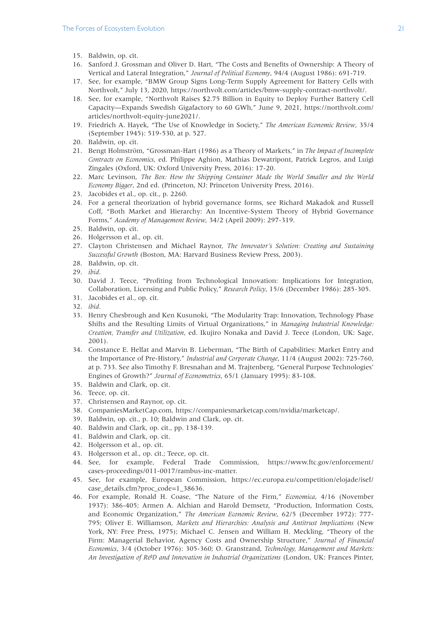- 15. Baldwin, op. cit.
- 16. Sanford J. Grossman and Oliver D. Hart, "The Costs and Benefits of Ownership: A Theory of Vertical and Lateral Integration," *Journal of Political Economy*, 94/4 (August 1986): 691-719.
- 17. See, for example, "BMW Group Signs Long-Term Supply Agreement for Battery Cells with Northvolt," July 13, 2020, https://northvolt.com/articles/bmw-supply-contract-northvolt/.
- 18. See, for example, "Northvolt Raises \$2.75 Billion in Equity to Deploy Further Battery Cell Capacity—Expands Swedish Gigafactory to 60 GWh," June 9, 2021, https://northvolt.com/ articles/northvolt-equity-june2021/.
- 19. Friedrich A. Hayek, "The Use of Knowledge in Society," *The American Economic Review*, 35/4 (September 1945): 519-530, at p. 527.
- 20. Baldwin, op. cit.
- 21. Bengt Holmström, "Grossman-Hart (1986) as a Theory of Markets," in *The Impact of Incomplete Contracts on Economics*, ed. Philippe Aghion, Mathias Dewatripont, Patrick Legros, and Luigi Zingales (Oxford, UK: Oxford University Press, 2016): 17-20.
- 22. Marc Levinson, *The Box: How the Shipping Container Made the World Smaller and the World Economy Bigger*, 2nd ed. (Princeton, NJ: Princeton University Press, 2016).
- 23. Jacobides et al., op. cit., p. 2260.
- 24. For a general theorization of hybrid governance forms, see Richard Makadok and Russell Coff, "Both Market and Hierarchy: An Incentive-System Theory of Hybrid Governance Forms," *Academy of Management Review*, 34/2 (April 2009): 297-319.
- 25. Baldwin, op. cit.
- 26. Holgersson et al., op. cit.
- 27. Clayton Christensen and Michael Raynor, *The Innovator's Solution: Creating and Sustaining Successful Growth* (Boston, MA: Harvard Business Review Press, 2003).
- 28. Baldwin, op. cit.
- 29. *ibid*.
- 30. David J. Teece, "Profiting from Technological Innovation: Implications for Integration, Collaboration, Licensing and Public Policy," *Research Policy*, 15/6 (December 1986): 285-305.
- 31. Jacobides et al., op. cit.
- 32. *ibid*.
- 33. Henry Chesbrough and Ken Kusunoki, "The Modularity Trap: Innovation, Technology Phase Shifts and the Resulting Limits of Virtual Organizations," in *Managing Industrial Knowledge: Creation, Transfer and Utilization*, ed. Ikujiro Nonaka and David J. Teece (London, UK: Sage, 2001).
- 34. Constance E. Helfat and Marvin B. Lieberman, "The Birth of Capabilities: Market Entry and the Importance of Pre-History," *Industrial and Corporate Change*, 11/4 (August 2002): 725-760, at p. 733. See also Timothy F. Bresnahan and M. Trajtenberg, "General Purpose Technologies' Engines of Growth?" *Journal of Econometrics*, 65/1 (January 1995): 83-108.
- 35. Baldwin and Clark, op. cit.
- 36. Teece, op. cit.
- 37. Christensen and Raynor, op. cit.
- 38. CompaniesMarketCap.com, https://companiesmarketcap.com/nvidia/marketcap/.
- 39. Baldwin, op. cit., p. 10; Baldwin and Clark, op. cit.
- 40. Baldwin and Clark, op. cit., pp. 138-139.
- 41. Baldwin and Clark, op. cit.
- 42. Holgersson et al., op. cit.
- 43. Holgersson et al., op. cit.; Teece, op. cit.
- 44. See, for example, Federal Trade Commission, https://www.ftc.gov/enforcement/ cases-proceedings/011-0017/rambus-inc-matter.
- 45. See, for example, European Commission, https://ec.europa.eu/competition/elojade/isef/ case\_details.cfm?proc\_code=1\_38636.
- 46. For example, Ronald H. Coase, "The Nature of the Firm," *Economica*, 4/16 (November 1937): 386-405; Armen A. Alchian and Harold Demsetz, "Production, Information Costs, and Economic Organization," *The American Economic Review*, 62/5 (December 1972): 777- 795; Oliver E. Williamson, *Markets and Hierarchies: Analysis and Antitrust Implications* (New York, NY: Free Press, 1975); Michael C. Jensen and William H. Meckling, "Theory of the Firm: Managerial Behavior, Agency Costs and Ownership Structure," *Journal of Financial Economics*, 3/4 (October 1976): 305-360; O. Granstrand, *Technology, Management and Markets: An Investigation of R&D and Innovation in Industrial Organizations* (London, UK: Frances Pinter,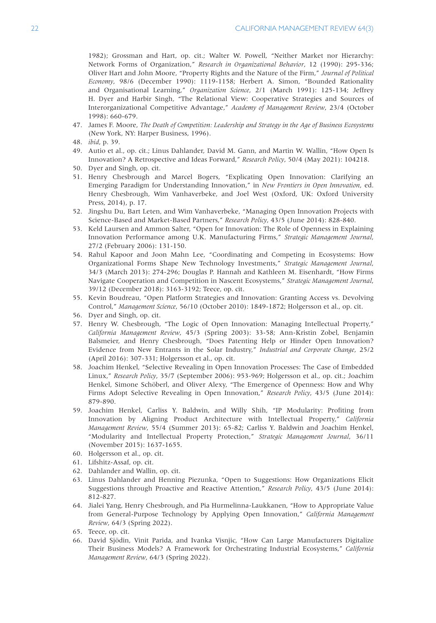1982); Grossman and Hart, op. cit.; Walter W. Powell, "Neither Market nor Hierarchy: Network Forms of Organization," *Research in Organizational Behavior*, 12 (1990): 295-336; Oliver Hart and John Moore, "Property Rights and the Nature of the Firm," *Journal of Political Economy*, 98/6 (December 1990): 1119-1158; Herbert A. Simon, "Bounded Rationality and Organisational Learning," *Organization Science*, 2/1 (March 1991): 125-134; Jeffrey H. Dyer and Harbir Singh, "The Relational View: Cooperative Strategies and Sources of Interorganizational Competitive Advantage," *Academy of Management Review*, 23/4 (October 1998): 660-679.

- 47. James F. Moore, *The Death of Competition: Leadership and Strategy in the Age of Business Ecosystems* (New York, NY: Harper Business, 1996).
- 48. *ibid*, p. 39.
- 49. Autio et al., op. cit.; Linus Dahlander, David M. Gann, and Martin W. Wallin, "How Open Is Innovation? A Retrospective and Ideas Forward," *Research Policy*, 50/4 (May 2021): 104218.
- 50. Dyer and Singh, op. cit.
- 51. Henry Chesbrough and Marcel Bogers, "Explicating Open Innovation: Clarifying an Emerging Paradigm for Understanding Innovation," in *New Frontiers in Open Innovation*, ed. Henry Chesbrough, Wim Vanhaverbeke, and Joel West (Oxford, UK: Oxford University Press, 2014), p. 17.
- 52. Jingshu Du, Bart Leten, and Wim Vanhaverbeke, "Managing Open Innovation Projects with Science-Based and Market-Based Partners," *Research Policy*, 43/5 (June 2014): 828-840.
- 53. Keld Laursen and Ammon Salter, "Open for Innovation: The Role of Openness in Explaining Innovation Performance among U.K. Manufacturing Firms," *Strategic Management Journal*, 27/2 (February 2006): 131-150.
- 54. Rahul Kapoor and Joon Mahn Lee, "Coordinating and Competing in Ecosystems: How Organizational Forms Shape New Technology Investments," *Strategic Management Journal*, 34/3 (March 2013): 274-296; Douglas P. Hannah and Kathleen M. Eisenhardt, "How Firms Navigate Cooperation and Competition in Nascent Ecosystems," *Strategic Management Journal*, 39/12 (December 2018): 3163-3192; Teece, op. cit.
- 55. Kevin Boudreau, "Open Platform Strategies and Innovation: Granting Access vs. Devolving Control," *Management Science*, 56/10 (October 2010): 1849-1872; Holgersson et al., op. cit.
- 56. Dyer and Singh, op. cit.
- 57. Henry W. Chesbrough, "The Logic of Open Innovation: Managing Intellectual Property," *California Management Review*, 45/3 (Spring 2003): 33-58; Ann-Kristin Zobel, Benjamin Balsmeier, and Henry Chesbrough, "Does Patenting Help or Hinder Open Innovation? Evidence from New Entrants in the Solar Industry," *Industrial and Corporate Change*, 25/2 (April 2016): 307-331; Holgersson et al., op. cit.
- 58. Joachim Henkel, "Selective Revealing in Open Innovation Processes: The Case of Embedded Linux," *Research Policy*, 35/7 (September 2006): 953-969; Holgersson et al., op. cit.; Joachim Henkel, Simone Schöberl, and Oliver Alexy, "The Emergence of Openness: How and Why Firms Adopt Selective Revealing in Open Innovation," *Research Policy*, 43/5 (June 2014): 879-890.
- 59. Joachim Henkel, Carliss Y. Baldwin, and Willy Shih, "IP Modularity: Profiting from Innovation by Aligning Product Architecture with Intellectual Property," *California Management Review*, 55/4 (Summer 2013): 65-82; Carliss Y. Baldwin and Joachim Henkel, "Modularity and Intellectual Property Protection," *Strategic Management Journal*, 36/11 (November 2015): 1637-1655.
- 60. Holgersson et al., op. cit.
- 61. Lifshitz-Assaf, op. cit.
- 62. Dahlander and Wallin, op. cit.
- 63. Linus Dahlander and Henning Piezunka, "Open to Suggestions: How Organizations Elicit Suggestions through Proactive and Reactive Attention," *Research Policy*, 43/5 (June 2014): 812-827.
- 64. Jialei Yang, Henry Chesbrough, and Pia Hurmelinna-Laukkanen, "How to Appropriate Value from General-Purpose Technology by Applying Open Innovation," *California Management Review*, 64/3 (Spring 2022).

66. David Sjödin, Vinit Parida, and Ivanka Visnjic, "How Can Large Manufacturers Digitalize Their Business Models? A Framework for Orchestrating Industrial Ecosystems," *California Management Review*, 64/3 (Spring 2022).

<sup>65.</sup> Teece, op. cit.